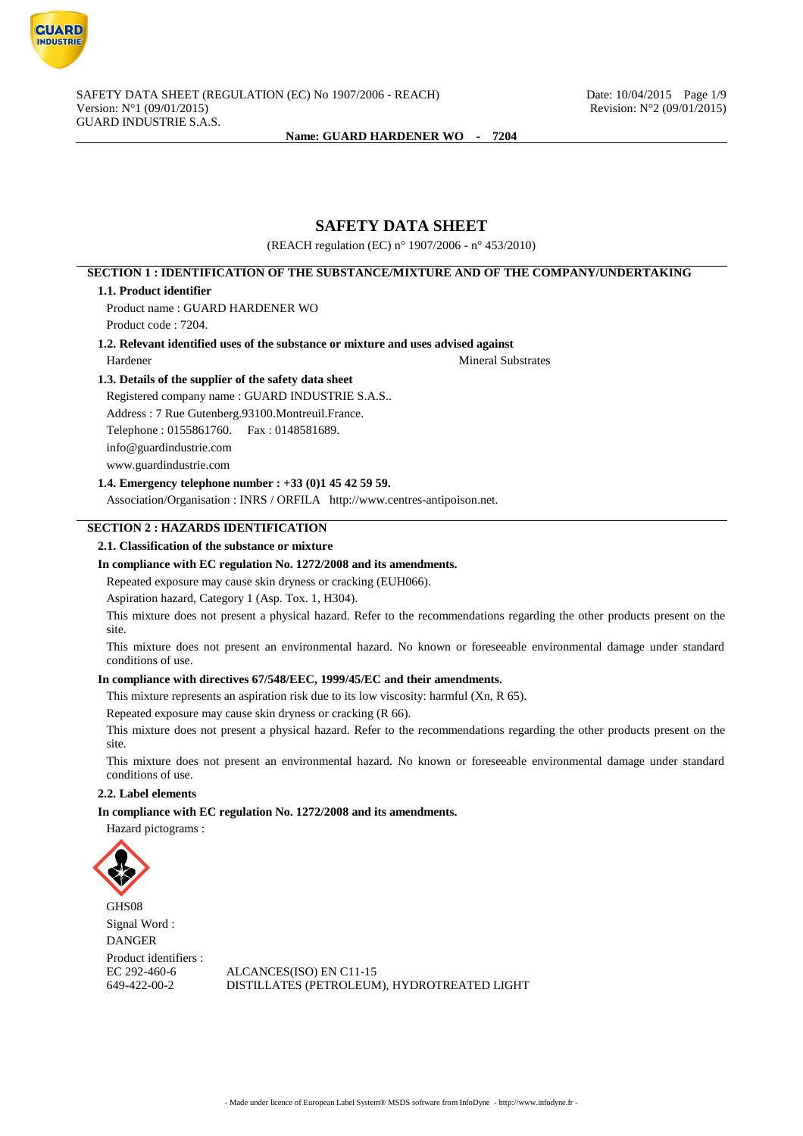

# **SAFETY DATA SHEET**

(REACH regulation (EC) n° 1907/2006 - n° 453/2010)

# **SECTION 1 : IDENTIFICATION OF THE SUBSTANCE/MIXTURE AND OF THE COMPANY/UNDERTAKING**

#### **1.1. Product identifier**

Product name : GUARD HARDENER WO Product code : 7204.

### **1.2. Relevant identified uses of the substance or mixture and uses advised against**

Hardener Mineral Substrates

### **1.3. Details of the supplier of the safety data sheet**

Registered company name : GUARD INDUSTRIE S.A.S.. Address : 7 Rue Gutenberg.93100.Montreuil.France. Telephone : 0155861760. Fax : 0148581689. info@guardindustrie.com www.guardindustrie.com

## **1.4. Emergency telephone number : +33 (0)1 45 42 59 59.**

Association/Organisation : INRS / ORFILA http://www.centres-antipoison.net.

## **SECTION 2 : HAZARDS IDENTIFICATION**

### **2.1. Classification of the substance or mixture**

### **In compliance with EC regulation No. 1272/2008 and its amendments.**

Repeated exposure may cause skin dryness or cracking (EUH066).

Aspiration hazard, Category 1 (Asp. Tox. 1, H304).

This mixture does not present a physical hazard. Refer to the recommendations regarding the other products present on the site.

This mixture does not present an environmental hazard. No known or foreseeable environmental damage under standard conditions of use.

### **In compliance with directives 67/548/EEC, 1999/45/EC and their amendments.**

This mixture represents an aspiration risk due to its low viscosity: harmful (Xn, R 65).

Repeated exposure may cause skin dryness or cracking (R 66).

This mixture does not present a physical hazard. Refer to the recommendations regarding the other products present on the site.

This mixture does not present an environmental hazard. No known or foreseeable environmental damage under standard conditions of use.

### **2.2. Label elements**

**In compliance with EC regulation No. 1272/2008 and its amendments.**

Hazard pictograms :



GHS08 Signal Word : DANGER Product identifiers :

EC 292-460-6 ALCANCES(ISO) EN C11-15<br>649-422-00-2 DISTILLATES (PETROLEUM DISTILLATES (PETROLEUM), HYDROTREATED LIGHT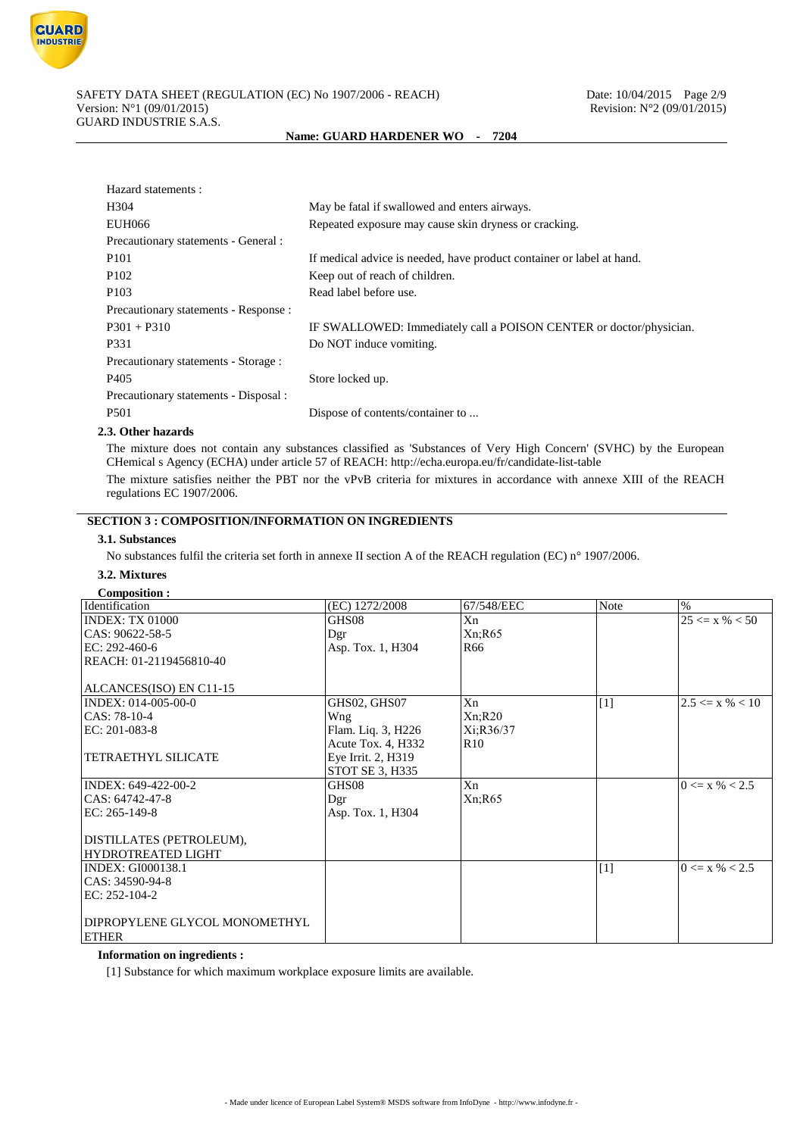

| Hazard statements :                   |                                                                       |
|---------------------------------------|-----------------------------------------------------------------------|
| H <sub>304</sub>                      | May be fatal if swallowed and enters airways.                         |
| EUH066                                | Repeated exposure may cause skin dryness or cracking.                 |
| Precautionary statements - General :  |                                                                       |
| P <sub>101</sub>                      | If medical advice is needed, have product container or label at hand. |
| P <sub>102</sub>                      | Keep out of reach of children.                                        |
| P <sub>103</sub>                      | Read label before use.                                                |
| Precautionary statements - Response : |                                                                       |
| $P301 + P310$                         | IF SWALLOWED: Immediately call a POISON CENTER or doctor/physician.   |
| P331                                  | Do NOT induce vomiting.                                               |
| Precautionary statements - Storage :  |                                                                       |
| P <sub>405</sub>                      | Store locked up.                                                      |
| Precautionary statements - Disposal : |                                                                       |
| P <sub>501</sub>                      | Dispose of contents/container to                                      |
|                                       |                                                                       |

### **2.3. Other hazards**

The mixture does not contain any substances classified as 'Substances of Very High Concern' (SVHC) by the European CHemical s Agency (ECHA) under article 57 of REACH: http://echa.europa.eu/fr/candidate-list-table

The mixture satisfies neither the PBT nor the vPvB criteria for mixtures in accordance with annexe XIII of the REACH regulations EC 1907/2006.

## **SECTION 3 : COMPOSITION/INFORMATION ON INGREDIENTS**

## **3.1. Substances**

No substances fulfil the criteria set forth in annexe II section A of the REACH regulation (EC) n° 1907/2006.

# **3.2. Mixtures**

| <b>Composition:</b>           |                                    |                 |       |                     |
|-------------------------------|------------------------------------|-----------------|-------|---------------------|
| Identification                | $\overline{(\text{EC})}$ 1272/2008 | 67/548/EEC      | Note  | %                   |
| INDEX: TX 01000               | GHS08                              | Xn              |       | $25 \le x \% < 50$  |
| CAS: 90622-58-5               | Dgr                                | Xn; R65         |       |                     |
| EC: 292-460-6                 | Asp. Tox. 1, H304                  | R <sub>66</sub> |       |                     |
| REACH: 01-2119456810-40       |                                    |                 |       |                     |
|                               |                                    |                 |       |                     |
| ALCANCES(ISO) EN C11-15       |                                    |                 |       |                     |
| INDEX: 014-005-00-0           | <b>GHS02, GHS07</b>                | Xn              | $[1]$ | $2.5 \le x \% < 10$ |
| CAS: 78-10-4                  | Wng                                | Xn; R20         |       |                     |
| $EC: 201-083-8$               | Flam. Liq. 3, H226                 | Xi:R36/37       |       |                     |
|                               | Acute Tox. 4, H332                 | R10             |       |                     |
| <b>TETRAETHYL SILICATE</b>    | Eye Irrit. 2, H319                 |                 |       |                     |
|                               | STOT SE 3, H335                    |                 |       |                     |
| INDEX: 649-422-00-2           | GHS08                              | Xn              |       | $0 \le x \% < 2.5$  |
| CAS: 64742-47-8               | Dgr                                | Xn; R65         |       |                     |
| EC: 265-149-8                 | Asp. Tox. 1, H304                  |                 |       |                     |
|                               |                                    |                 |       |                     |
| DISTILLATES (PETROLEUM),      |                                    |                 |       |                     |
| <b>HYDROTREATED LIGHT</b>     |                                    |                 |       |                     |
| <b>INDEX: GI000138.1</b>      |                                    |                 | $[1]$ | $0 \le x \% < 2.5$  |
| CAS: 34590-94-8               |                                    |                 |       |                     |
| EC: 252-104-2                 |                                    |                 |       |                     |
|                               |                                    |                 |       |                     |
| DIPROPYLENE GLYCOL MONOMETHYL |                                    |                 |       |                     |
| <b>ETHER</b>                  |                                    |                 |       |                     |

### **Information on ingredients :**

[1] Substance for which maximum workplace exposure limits are available.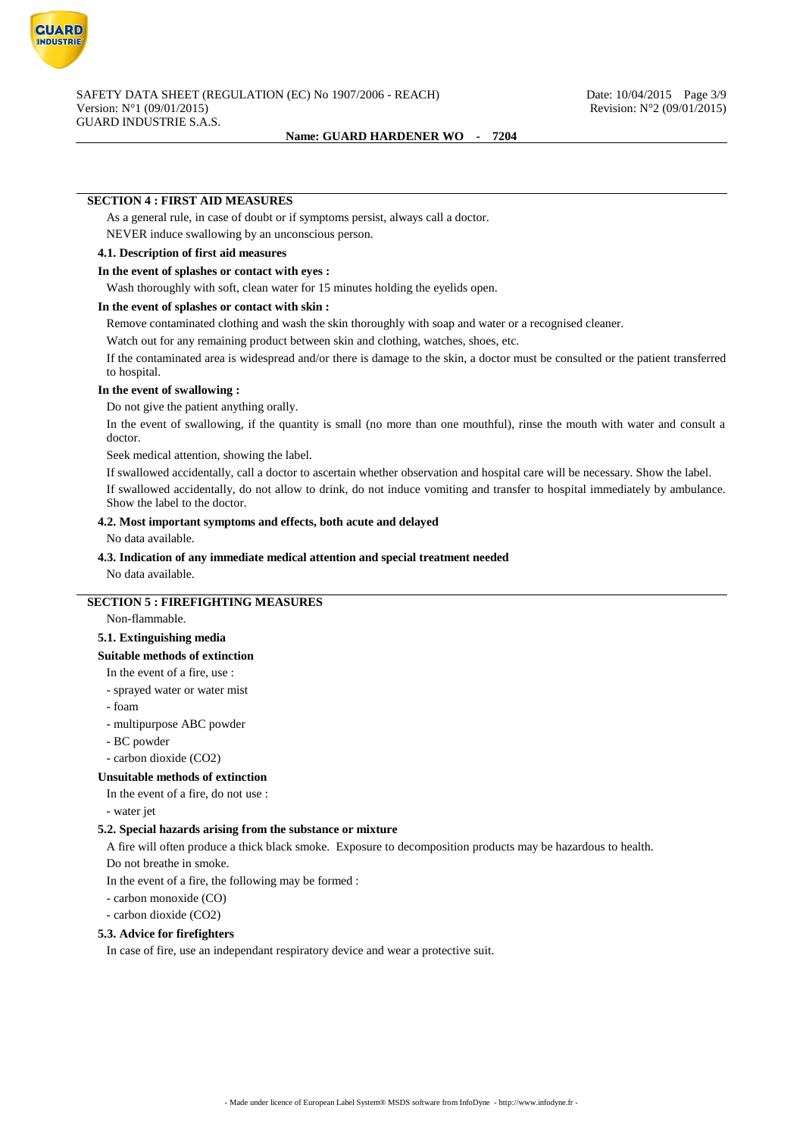

### **SECTION 4 : FIRST AID MEASURES**

As a general rule, in case of doubt or if symptoms persist, always call a doctor.

NEVER induce swallowing by an unconscious person.

#### **4.1. Description of first aid measures**

### **In the event of splashes or contact with eyes :**

Wash thoroughly with soft, clean water for 15 minutes holding the eyelids open.

### **In the event of splashes or contact with skin :**

Remove contaminated clothing and wash the skin thoroughly with soap and water or a recognised cleaner.

Watch out for any remaining product between skin and clothing, watches, shoes, etc.

If the contaminated area is widespread and/or there is damage to the skin, a doctor must be consulted or the patient transferred to hospital.

### **In the event of swallowing :**

Do not give the patient anything orally.

In the event of swallowing, if the quantity is small (no more than one mouthful), rinse the mouth with water and consult a doctor.

Seek medical attention, showing the label.

If swallowed accidentally, call a doctor to ascertain whether observation and hospital care will be necessary. Show the label.

If swallowed accidentally, do not allow to drink, do not induce vomiting and transfer to hospital immediately by ambulance. Show the label to the doctor.

## **4.2. Most important symptoms and effects, both acute and delayed**

No data available.

### **4.3. Indication of any immediate medical attention and special treatment needed**

No data available.

# **SECTION 5 : FIREFIGHTING MEASURES**

Non-flammable.

### **5.1. Extinguishing media**

#### **Suitable methods of extinction**

In the event of a fire, use :

- sprayed water or water mist
- foam
- multipurpose ABC powder
- BC powder
- carbon dioxide (CO2)

### **Unsuitable methods of extinction**

In the event of a fire, do not use :

- water jet

### **5.2. Special hazards arising from the substance or mixture**

A fire will often produce a thick black smoke. Exposure to decomposition products may be hazardous to health.

Do not breathe in smoke.

In the event of a fire, the following may be formed :

- carbon monoxide (CO)

- carbon dioxide (CO2)

#### **5.3. Advice for firefighters**

In case of fire, use an independant respiratory device and wear a protective suit.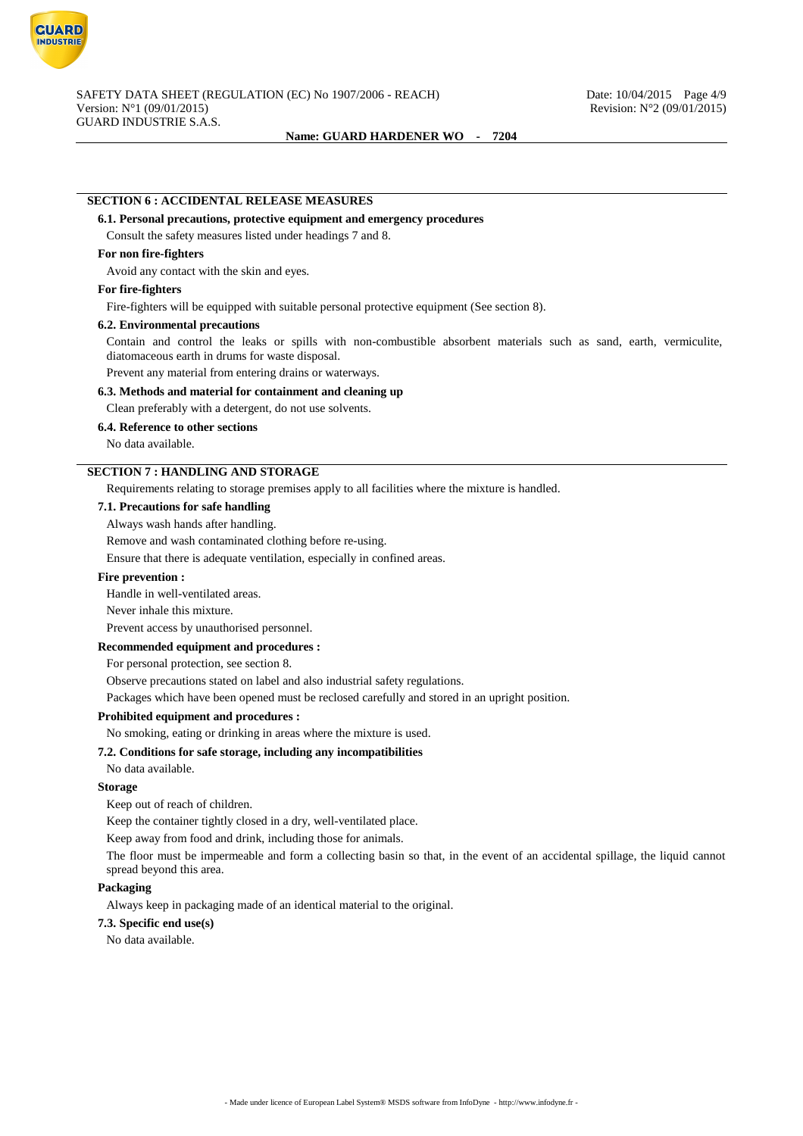

# **SECTION 6 : ACCIDENTAL RELEASE MEASURES**

### **6.1. Personal precautions, protective equipment and emergency procedures**

Consult the safety measures listed under headings 7 and 8.

### **For non fire-fighters**

Avoid any contact with the skin and eyes.

## **For fire-fighters**

Fire-fighters will be equipped with suitable personal protective equipment (See section 8).

#### **6.2. Environmental precautions**

Contain and control the leaks or spills with non-combustible absorbent materials such as sand, earth, vermiculite, diatomaceous earth in drums for waste disposal.

Prevent any material from entering drains or waterways.

### **6.3. Methods and material for containment and cleaning up**

Clean preferably with a detergent, do not use solvents.

**6.4. Reference to other sections**

No data available.

## **SECTION 7 : HANDLING AND STORAGE**

Requirements relating to storage premises apply to all facilities where the mixture is handled.

#### **7.1. Precautions for safe handling**

Always wash hands after handling.

Remove and wash contaminated clothing before re-using.

Ensure that there is adequate ventilation, especially in confined areas.

### **Fire prevention :**

Handle in well-ventilated areas.

Never inhale this mixture.

Prevent access by unauthorised personnel.

### **Recommended equipment and procedures :**

For personal protection, see section 8.

Observe precautions stated on label and also industrial safety regulations.

Packages which have been opened must be reclosed carefully and stored in an upright position.

## **Prohibited equipment and procedures :**

No smoking, eating or drinking in areas where the mixture is used.

## **7.2. Conditions for safe storage, including any incompatibilities**

No data available.

### **Storage**

Keep out of reach of children.

Keep the container tightly closed in a dry, well-ventilated place.

Keep away from food and drink, including those for animals.

The floor must be impermeable and form a collecting basin so that, in the event of an accidental spillage, the liquid cannot spread beyond this area.

### **Packaging**

Always keep in packaging made of an identical material to the original.

## **7.3. Specific end use(s)**

No data available.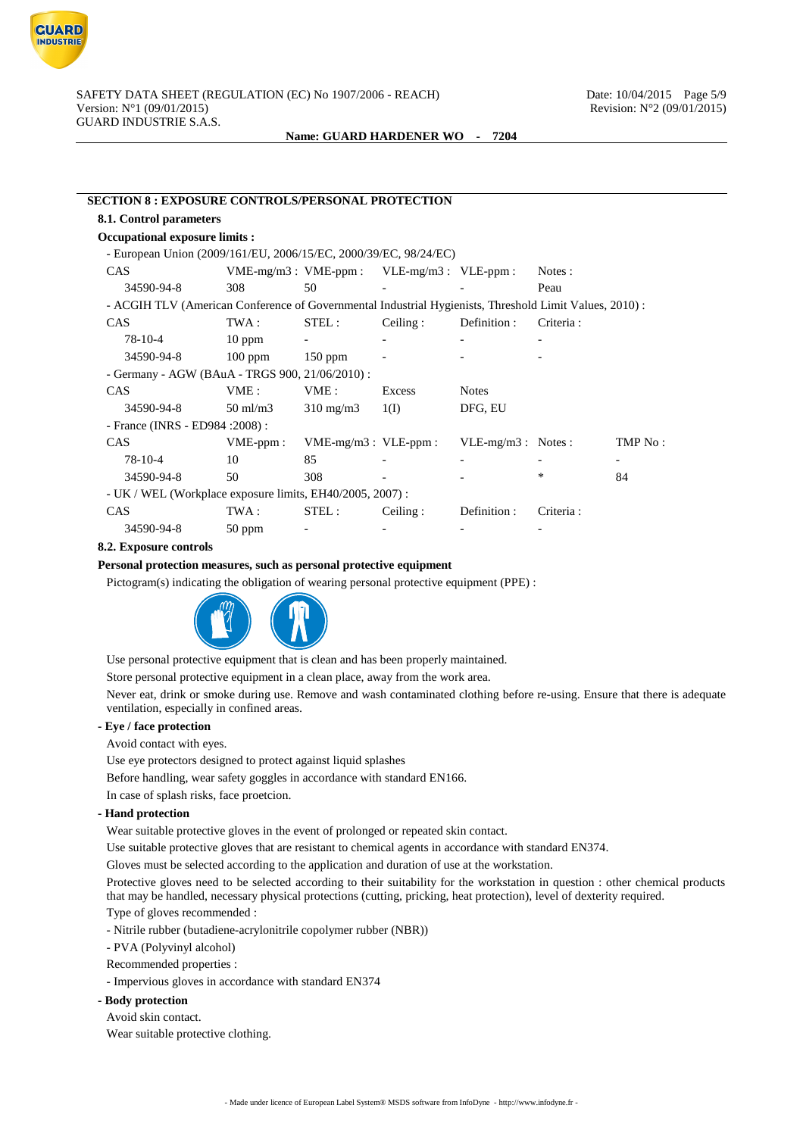

| <b>SECTION 8 : EXPOSURE CONTROLS/PERSONAL PROTECTION</b>                                                |                           |                           |                           |                     |           |                          |
|---------------------------------------------------------------------------------------------------------|---------------------------|---------------------------|---------------------------|---------------------|-----------|--------------------------|
| 8.1. Control parameters                                                                                 |                           |                           |                           |                     |           |                          |
| <b>Occupational exposure limits:</b>                                                                    |                           |                           |                           |                     |           |                          |
| - European Union (2009/161/EU, 2006/15/EC, 2000/39/EC, 98/24/EC)                                        |                           |                           |                           |                     |           |                          |
| CAS                                                                                                     | $VME-mg/m3$ : $VME-ppm$ : |                           | $VLE-mg/m3$ : $VLE-ppm$ : |                     | Notes :   |                          |
| 34590-94-8                                                                                              | 308                       | 50                        |                           |                     | Peau      |                          |
| - ACGIH TLV (American Conference of Governmental Industrial Hygienists, Threshold Limit Values, 2010) : |                           |                           |                           |                     |           |                          |
| <b>CAS</b>                                                                                              | TWA :                     | STEL:                     | Ceiling:                  | Definition :        | Criteria: |                          |
| 78-10-4                                                                                                 | $10$ ppm                  | $\overline{\phantom{a}}$  |                           |                     |           |                          |
| 34590-94-8                                                                                              | $100$ ppm                 | 150 ppm                   |                           |                     |           |                          |
| - Germany - AGW (BAuA - TRGS 900, 21/06/2010) :                                                         |                           |                           |                           |                     |           |                          |
| <b>CAS</b>                                                                                              | VME:                      | VME:                      | Excess                    | <b>Notes</b>        |           |                          |
| 34590-94-8                                                                                              | $50 \text{ ml/m}$ 3       | $310 \text{ mg/m}$        | 1(I)                      | DFG, EU             |           |                          |
| - France (INRS - ED984 : 2008) :                                                                        |                           |                           |                           |                     |           |                          |
| <b>CAS</b>                                                                                              | $VME-ppm$ :               | $VME-mg/m3$ : $VLE-ppm$ : |                           | VLE-mg/m3 : Notes : |           | TMP No:                  |
| $78-10-4$                                                                                               | 10                        | 85                        |                           |                     |           | $\overline{\phantom{a}}$ |
| 34590-94-8                                                                                              | 50                        | 308                       |                           |                     | *         | 84                       |
| - UK / WEL (Workplace exposure limits, EH40/2005, 2007):                                                |                           |                           |                           |                     |           |                          |
| <b>CAS</b>                                                                                              | TWA :                     | STEL:                     | Ceiling:                  | Definition :        | Criteria: |                          |
| 34590-94-8                                                                                              | $50$ ppm                  |                           |                           |                     |           |                          |

#### **8.2. Exposure controls**

#### **Personal protection measures, such as personal protective equipment**

Pictogram(s) indicating the obligation of wearing personal protective equipment (PPE) :



Use personal protective equipment that is clean and has been properly maintained.

Store personal protective equipment in a clean place, away from the work area.

Never eat, drink or smoke during use. Remove and wash contaminated clothing before re-using. Ensure that there is adequate ventilation, especially in confined areas.

#### **- Eye / face protection**

Avoid contact with eyes.

Use eye protectors designed to protect against liquid splashes

Before handling, wear safety goggles in accordance with standard EN166.

In case of splash risks, face proetcion.

### **- Hand protection**

Wear suitable protective gloves in the event of prolonged or repeated skin contact.

Use suitable protective gloves that are resistant to chemical agents in accordance with standard EN374.

Gloves must be selected according to the application and duration of use at the workstation.

Protective gloves need to be selected according to their suitability for the workstation in question : other chemical products that may be handled, necessary physical protections (cutting, pricking, heat protection), level of dexterity required.

Type of gloves recommended :

- Nitrile rubber (butadiene-acrylonitrile copolymer rubber (NBR))

- PVA (Polyvinyl alcohol)

Recommended properties :

- Impervious gloves in accordance with standard EN374

#### **- Body protection**

Avoid skin contact.

Wear suitable protective clothing.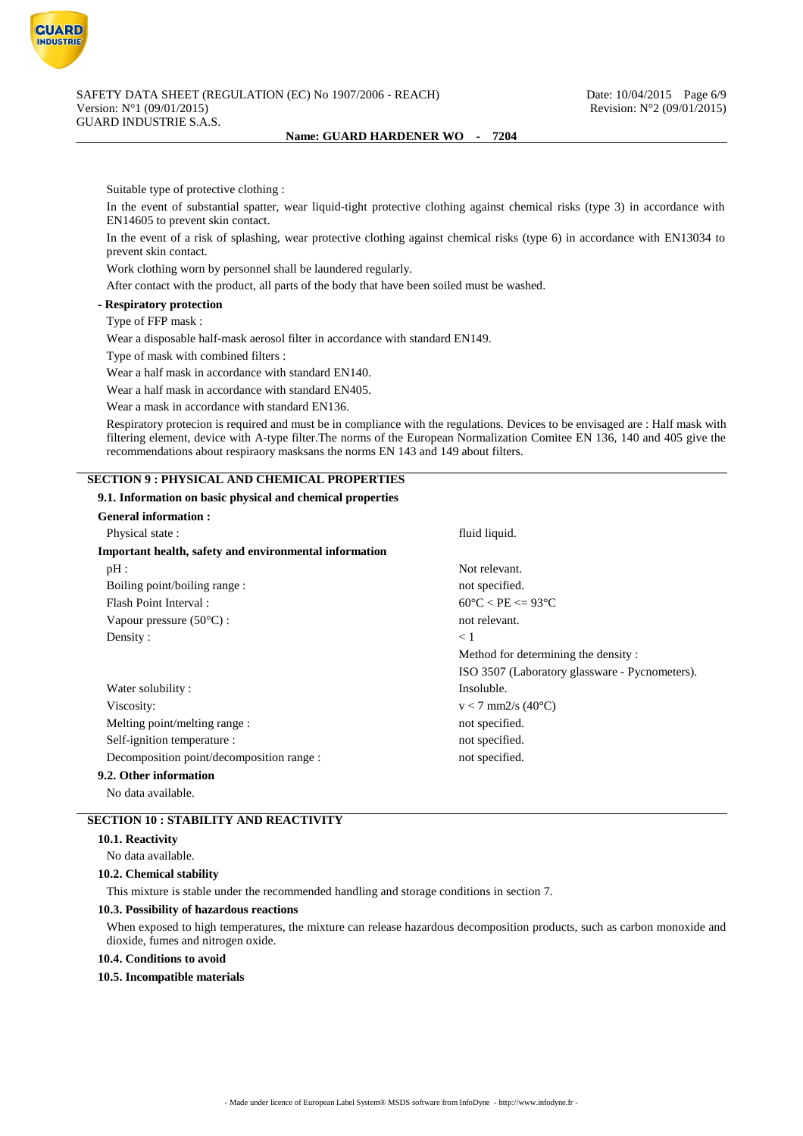

Suitable type of protective clothing :

In the event of substantial spatter, wear liquid-tight protective clothing against chemical risks (type 3) in accordance with EN14605 to prevent skin contact.

In the event of a risk of splashing, wear protective clothing against chemical risks (type 6) in accordance with EN13034 to prevent skin contact.

Work clothing worn by personnel shall be laundered regularly.

After contact with the product, all parts of the body that have been soiled must be washed.

**- Respiratory protection**

### Type of FFP mask :

Wear a disposable half-mask aerosol filter in accordance with standard EN149.

Type of mask with combined filters :

Wear a half mask in accordance with standard EN140.

Wear a half mask in accordance with standard EN405.

Wear a mask in accordance with standard EN136.

Respiratory protecion is required and must be in compliance with the regulations. Devices to be envisaged are : Half mask with filtering element, device with A-type filter.The norms of the European Normalization Comitee EN 136, 140 and 405 give the recommendations about respiraory masksans the norms EN 143 and 149 about filters.

### **SECTION 9 : PHYSICAL AND CHEMICAL PROPERTIES**

#### **9.1. Information on basic physical and chemical properties**

| <b>General information:</b>                            |                                                |
|--------------------------------------------------------|------------------------------------------------|
| Physical state:                                        | fluid liquid.                                  |
| Important health, safety and environmental information |                                                |
| pH:                                                    | Not relevant.                                  |
| Boiling point/boiling range:                           | not specified.                                 |
| Flash Point Interval:                                  | $60^{\circ}$ C < PE <= 93 $^{\circ}$ C         |
| Vapour pressure $(50^{\circ}C)$ :                      | not relevant.                                  |
| Density:                                               | $\leq 1$                                       |
|                                                        | Method for determining the density:            |
|                                                        | ISO 3507 (Laboratory glassware - Pycnometers). |
| Water solubility:                                      | Insoluble.                                     |
| Viscosity:                                             | $v < 7$ mm2/s (40°C)                           |
| Melting point/melting range :                          | not specified.                                 |
| Self-ignition temperature :                            | not specified.                                 |
| Decomposition point/decomposition range :              | not specified.                                 |
| 9.2. Other information                                 |                                                |
| No data available.                                     |                                                |

# **SECTION 10 : STABILITY AND REACTIVITY**

#### **10.1. Reactivity**

No data available.

#### **10.2. Chemical stability**

This mixture is stable under the recommended handling and storage conditions in section 7.

#### **10.3. Possibility of hazardous reactions**

When exposed to high temperatures, the mixture can release hazardous decomposition products, such as carbon monoxide and dioxide, fumes and nitrogen oxide.

#### **10.4. Conditions to avoid**

#### **10.5. Incompatible materials**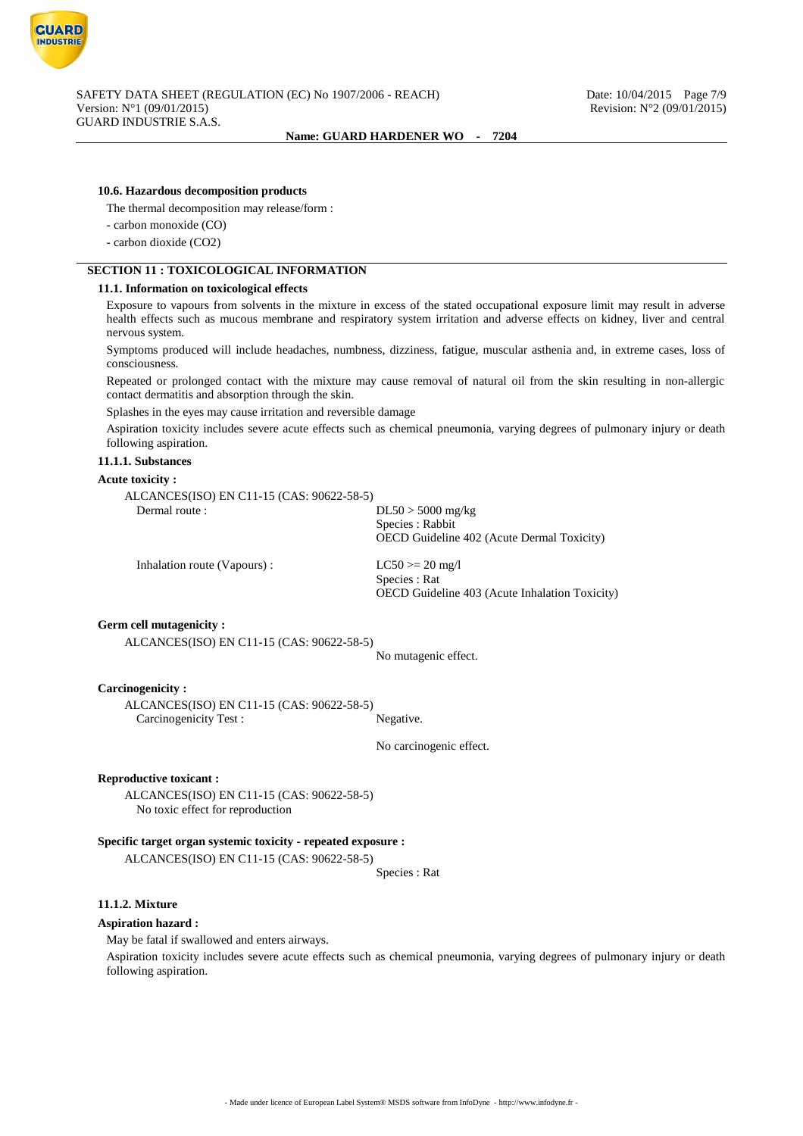

## **10.6. Hazardous decomposition products**

The thermal decomposition may release/form :

- carbon monoxide (CO)
- carbon dioxide (CO2)

### **SECTION 11 : TOXICOLOGICAL INFORMATION**

### **11.1. Information on toxicological effects**

Exposure to vapours from solvents in the mixture in excess of the stated occupational exposure limit may result in adverse health effects such as mucous membrane and respiratory system irritation and adverse effects on kidney, liver and central nervous system.

Symptoms produced will include headaches, numbness, dizziness, fatigue, muscular asthenia and, in extreme cases, loss of consciousness.

Repeated or prolonged contact with the mixture may cause removal of natural oil from the skin resulting in non-allergic contact dermatitis and absorption through the skin.

Splashes in the eyes may cause irritation and reversible damage

Aspiration toxicity includes severe acute effects such as chemical pneumonia, varying degrees of pulmonary injury or death following aspiration.

#### **11.1.1. Substances**

#### **Acute toxicity :**

ALCANCES(ISO) EN C11-15 (CAS: 90622-58-5) Dermal route : DL50 > 5000 mg/kg

Species : Rabbit OECD Guideline 402 (Acute Dermal Toxicity)

Inhalation route (Vapours) : LC50 >= 20 mg/l

Species : Rat OECD Guideline 403 (Acute Inhalation Toxicity)

### **Germ cell mutagenicity :**

ALCANCES(ISO) EN C11-15 (CAS: 90622-58-5)

No mutagenic effect.

#### **Carcinogenicity :**

ALCANCES(ISO) EN C11-15 (CAS: 90622-58-5) Carcinogenicity Test : Negative.

No carcinogenic effect.

#### **Reproductive toxicant :**

ALCANCES(ISO) EN C11-15 (CAS: 90622-58-5) No toxic effect for reproduction

#### **Specific target organ systemic toxicity - repeated exposure :**

ALCANCES(ISO) EN C11-15 (CAS: 90622-58-5)

Species : Rat

#### **11.1.2. Mixture**

#### **Aspiration hazard :**

May be fatal if swallowed and enters airways.

Aspiration toxicity includes severe acute effects such as chemical pneumonia, varying degrees of pulmonary injury or death following aspiration.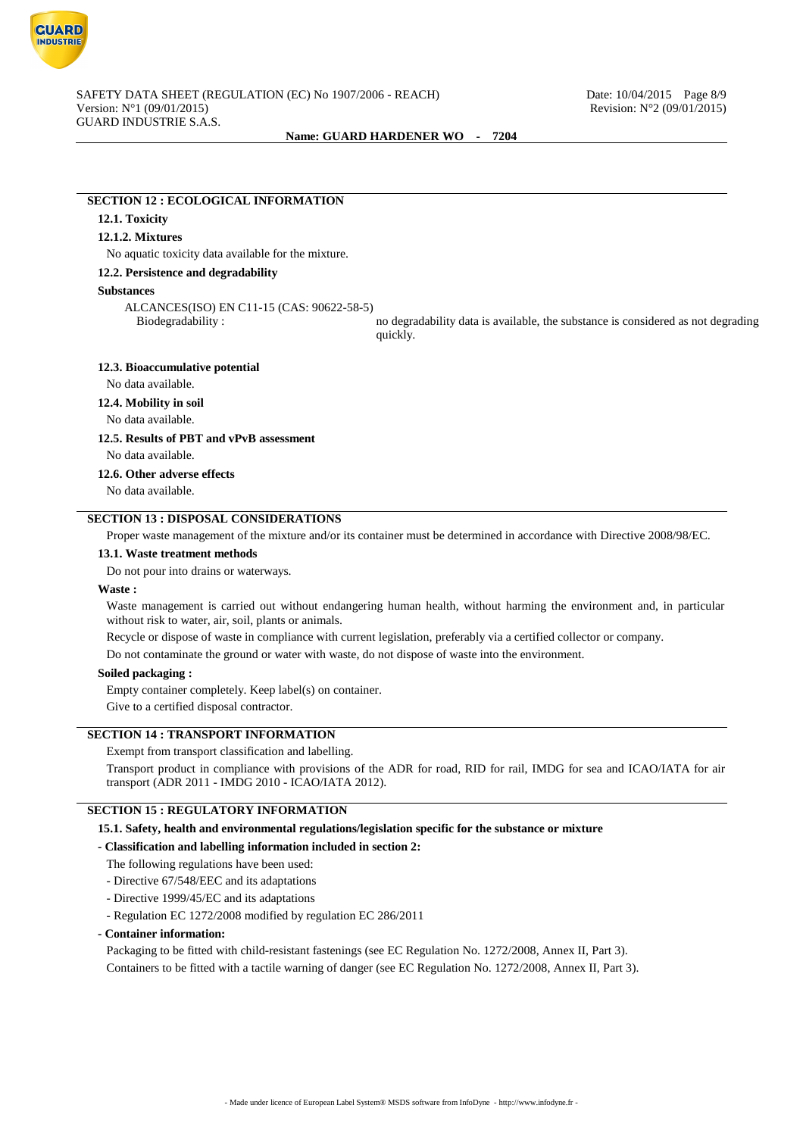

### **SECTION 12 : ECOLOGICAL INFORMATION**

### **12.1. Toxicity**

### **12.1.2. Mixtures**

No aquatic toxicity data available for the mixture.

## **12.2. Persistence and degradability**

### **Substances**

ALCANCES(ISO) EN C11-15 (CAS: 90622-58-5)

Biodegradability : no degradability data is available, the substance is considered as not degrading quickly.

#### **12.3. Bioaccumulative potential**

No data available.

### **12.4. Mobility in soil**

No data available.

## **12.5. Results of PBT and vPvB assessment**

No data available.

#### **12.6. Other adverse effects**

No data available.

# **SECTION 13 : DISPOSAL CONSIDERATIONS**

Proper waste management of the mixture and/or its container must be determined in accordance with Directive 2008/98/EC.

#### **13.1. Waste treatment methods**

Do not pour into drains or waterways.

#### **Waste :**

Waste management is carried out without endangering human health, without harming the environment and, in particular without risk to water, air, soil, plants or animals.

Recycle or dispose of waste in compliance with current legislation, preferably via a certified collector or company.

Do not contaminate the ground or water with waste, do not dispose of waste into the environment.

#### **Soiled packaging :**

Empty container completely. Keep label(s) on container.

Give to a certified disposal contractor.

## **SECTION 14 : TRANSPORT INFORMATION**

#### Exempt from transport classification and labelling.

Transport product in compliance with provisions of the ADR for road, RID for rail, IMDG for sea and ICAO/IATA for air transport (ADR 2011 - IMDG 2010 - ICAO/IATA 2012).

### **SECTION 15 : REGULATORY INFORMATION**

**15.1. Safety, health and environmental regulations/legislation specific for the substance or mixture**

#### **- Classification and labelling information included in section 2:**

The following regulations have been used:

- Directive 67/548/EEC and its adaptations
- Directive 1999/45/EC and its adaptations
- Regulation EC 1272/2008 modified by regulation EC 286/2011

#### **- Container information:**

Packaging to be fitted with child-resistant fastenings (see EC Regulation No. 1272/2008, Annex II, Part 3). Containers to be fitted with a tactile warning of danger (see EC Regulation No. 1272/2008, Annex II, Part 3).